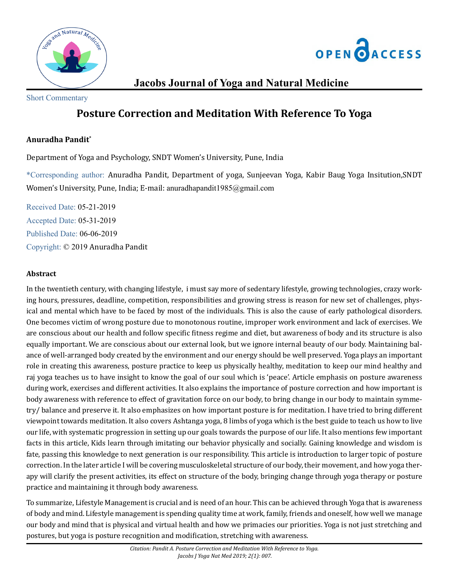



## **Jacobs Journal of Yoga and Natural Medicine**

Short Commentary

# **Posture Correction and Meditation With Reference To Yoga**

### **Anuradha Pandit\***

Department of Yoga and Psychology, SNDT Women's University, Pune, India

\*Corresponding author: Anuradha Pandit, Department of yoga, Sunjeevan Yoga, Kabir Baug Yoga Insitution,SNDT Women's University, Pune, India; E-mail: [anuradhapandit1985@gmail.com](mailto:anuradhapandit1985@gmail.com)

Received Date: 05-21-2019 Accepted Date: 05-31-2019 Published Date: 06-06-2019 Copyright: © 2019 Anuradha Pandit

### **Abstract**

In the twentieth century, with changing lifestyle, i must say more of sedentary lifestyle, growing technologies, crazy working hours, pressures, deadline, competition, responsibilities and growing stress is reason for new set of challenges, physical and mental which have to be faced by most of the individuals. This is also the cause of early pathological disorders. One becomes victim of wrong posture due to monotonous routine, improper work environment and lack of exercises. We are conscious about our health and follow specific fitness regime and diet, but awareness of body and its structure is also equally important. We are conscious about our external look, but we ignore internal beauty of our body. Maintaining balance of well-arranged body created by the environment and our energy should be well preserved. Yoga plays an important role in creating this awareness, posture practice to keep us physically healthy, meditation to keep our mind healthy and raj yoga teaches us to have insight to know the goal of our soul which is 'peace'. Article emphasis on posture awareness during work, exercises and different activities. It also explains the importance of posture correction and how important is body awareness with reference to effect of gravitation force on our body, to bring change in our body to maintain symmetry/ balance and preserve it. It also emphasizes on how important posture is for meditation. I have tried to bring different viewpoint towards meditation. It also covers Ashtanga yoga, 8 limbs of yoga which is the best guide to teach us how to live our life, with systematic progression in setting up our goals towards the purpose of our life. It also mentions few important facts in this article, Kids learn through imitating our behavior physically and socially. Gaining knowledge and wisdom is fate, passing this knowledge to next generation is our responsibility. This article is introduction to larger topic of posture correction. In the later article I will be covering musculoskeletal structure of our body, their movement, and how yoga therapy will clarify the present activities, its effect on structure of the body, bringing change through yoga therapy or posture practice and maintaining it through body awareness.

To summarize, Lifestyle Management is crucial and is need of an hour. This can be achieved through Yoga that is awareness of body and mind. Lifestyle management is spending quality time at work, family, friends and oneself, how well we manage our body and mind that is physical and virtual health and how we primacies our priorities. Yoga is not just stretching and postures, but yoga is posture recognition and modification, stretching with awareness.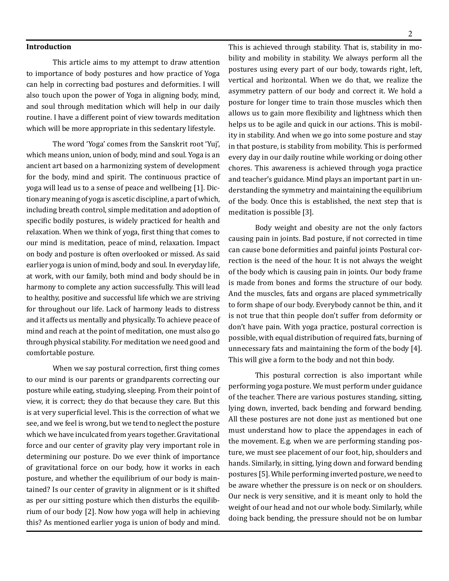**Introduction**

This article aims to my attempt to draw attention to importance of body postures and how practice of Yoga can help in correcting bad postures and deformities. I will also touch upon the power of Yoga in aligning body, mind, and soul through meditation which will help in our daily routine. I have a different point of view towards meditation which will be more appropriate in this sedentary lifestyle.

The word 'Yoga' comes from the Sanskrit root 'Yuj', which means union, union of body, mind and soul. Yoga is an ancient art based on a harmonizing system of development for the body, mind and spirit. The continuous practice of yoga will lead us to a sense of peace and wellbeing [1]. Dictionary meaning of yoga is ascetic discipline, a part of which, including breath control, simple meditation and adoption of specific bodily postures, is widely practiced for health and relaxation. When we think of yoga, first thing that comes to our mind is meditation, peace of mind, relaxation. Impact on body and posture is often overlooked or missed. As said earlier yoga is union of mind, body and soul. In everyday life, at work, with our family, both mind and body should be in harmony to complete any action successfully. This will lead to healthy, positive and successful life which we are striving for throughout our life. Lack of harmony leads to distress and it affects us mentally and physically. To achieve peace of mind and reach at the point of meditation, one must also go through physical stability. For meditation we need good and comfortable posture.

When we say postural correction, first thing comes to our mind is our parents or grandparents correcting our posture while eating, studying, sleeping. From their point of view, it is correct; they do that because they care. But this is at very superficial level. This is the correction of what we see, and we feel is wrong, but we tend to neglect the posture which we have inculcated from years together. Gravitational force and our center of gravity play very important role in determining our posture. Do we ever think of importance of gravitational force on our body, how it works in each posture, and whether the equilibrium of our body is maintained? Is our center of gravity in alignment or is it shifted as per our sitting posture which then disturbs the equilibrium of our body [2]. Now how yoga will help in achieving this? As mentioned earlier yoga is union of body and mind.

This is achieved through stability. That is, stability in mobility and mobility in stability. We always perform all the postures using every part of our body, towards right, left, vertical and horizontal. When we do that, we realize the asymmetry pattern of our body and correct it. We hold a posture for longer time to train those muscles which then allows us to gain more flexibility and lightness which then helps us to be agile and quick in our actions. This is mobility in stability. And when we go into some posture and stay in that posture, is stability from mobility. This is performed every day in our daily routine while working or doing other chores. This awareness is achieved through yoga practice and teacher's guidance. Mind plays an important part in understanding the symmetry and maintaining the equilibrium of the body. Once this is established, the next step that is meditation is possible [3].

Body weight and obesity are not the only factors causing pain in joints. Bad posture, if not corrected in time can cause bone deformities and painful joints Postural correction is the need of the hour. It is not always the weight of the body which is causing pain in joints. Our body frame is made from bones and forms the structure of our body. And the muscles, fats and organs are placed symmetrically to form shape of our body. Everybody cannot be thin, and it is not true that thin people don't suffer from deformity or don't have pain. With yoga practice, postural correction is possible, with equal distribution of required fats, burning of unnecessary fats and maintaining the form of the body [4]. This will give a form to the body and not thin body.

This postural correction is also important while performing yoga posture. We must perform under guidance of the teacher. There are various postures standing, sitting, lying down, inverted, back bending and forward bending. All these postures are not done just as mentioned but one must understand how to place the appendages in each of the movement. E.g. when we are performing standing posture, we must see placement of our foot, hip, shoulders and hands. Similarly, in sitting, lying down and forward bending postures [5]. While performing inverted posture, we need to be aware whether the pressure is on neck or on shoulders. Our neck is very sensitive, and it is meant only to hold the weight of our head and not our whole body. Similarly, while doing back bending, the pressure should not be on lumbar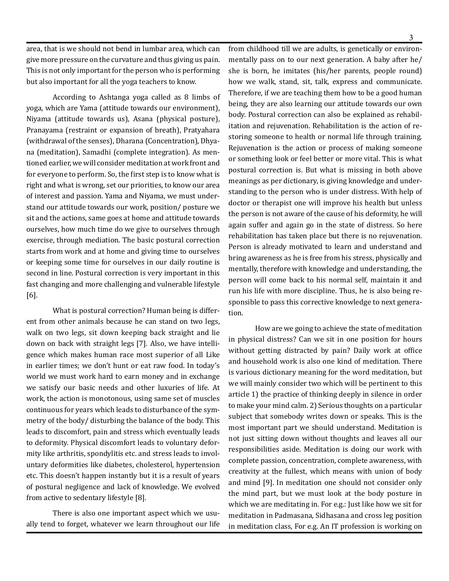area, that is we should not bend in lumbar area, which can give more pressure on the curvature and thus giving us pain. This is not only important for the person who is performing but also important for all the yoga teachers to know.

According to Ashtanga yoga called as 8 limbs of yoga, which are Yama (attitude towards our environment), Niyama (attitude towards us), Asana (physical posture), Pranayama (restraint or expansion of breath), Pratyahara (withdrawal of the senses), Dharana (Concentration), Dhyana (meditation), Samadhi (complete integration). As mentioned earlier, we will consider meditation at work front and for everyone to perform. So, the first step is to know what is right and what is wrong, set our priorities, to know our area of interest and passion. Yama and Niyama, we must understand our attitude towards our work, position/ posture we sit and the actions, same goes at home and attitude towards ourselves, how much time do we give to ourselves through exercise, through mediation. The basic postural correction starts from work and at home and giving time to ourselves or keeping some time for ourselves in our daily routine is second in line. Postural correction is very important in this fast changing and more challenging and vulnerable lifestyle [6].

What is postural correction? Human being is different from other animals because he can stand on two legs, walk on two legs, sit down keeping back straight and lie down on back with straight legs [7]. Also, we have intelligence which makes human race most superior of all Like in earlier times; we don't hunt or eat raw food. In today's world we must work hard to earn money and in exchange we satisfy our basic needs and other luxuries of life. At work, the action is monotonous, using same set of muscles continuous for years which leads to disturbance of the symmetry of the body/ disturbing the balance of the body. This leads to discomfort, pain and stress which eventually leads to deformity. Physical discomfort leads to voluntary deformity like arthritis, spondylitis etc. and stress leads to involuntary deformities like diabetes, cholesterol, hypertension etc. This doesn't happen instantly but it is a result of years of postural negligence and lack of knowledge. We evolved from active to sedentary lifestyle [8].

There is also one important aspect which we usually tend to forget, whatever we learn throughout our life

from childhood till we are adults, is genetically or environmentally pass on to our next generation. A baby after he/ she is born, he imitates (his/her parents, people round) how we walk, stand, sit, talk, express and communicate. Therefore, if we are teaching them how to be a good human being, they are also learning our attitude towards our own body. Postural correction can also be explained as rehabilitation and rejuvenation. Rehabilitation is the action of restoring someone to health or normal life through training. Rejuvenation is the action or process of making someone or something look or feel better or more vital. This is what postural correction is. But what is missing in both above meanings as per dictionary, is giving knowledge and understanding to the person who is under distress. With help of doctor or therapist one will improve his health but unless the person is not aware of the cause of his deformity, he will again suffer and again go in the state of distress. So here rehabilitation has taken place but there is no rejuvenation. Person is already motivated to learn and understand and bring awareness as he is free from his stress, physically and mentally, therefore with knowledge and understanding, the person will come back to his normal self, maintain it and run his life with more discipline. Thus, he is also being responsible to pass this corrective knowledge to next generation.

How are we going to achieve the state of meditation in physical distress? Can we sit in one position for hours without getting distracted by pain? Daily work at office and household work is also one kind of meditation. There is various dictionary meaning for the word meditation, but we will mainly consider two which will be pertinent to this article 1) the practice of thinking deeply in silence in order to make your mind calm. 2) Serious thoughts on a particular subject that somebody writes down or speaks. This is the most important part we should understand. Meditation is not just sitting down without thoughts and leaves all our responsibilities aside. Meditation is doing our work with complete passion, concentration, complete awareness, with creativity at the fullest, which means with union of body and mind [9]. In meditation one should not consider only the mind part, but we must look at the body posture in which we are meditating in. For e.g.: Just like how we sit for meditation in Padmasana, Sidhasana and cross leg position in meditation class, For e.g. An IT profession is working on